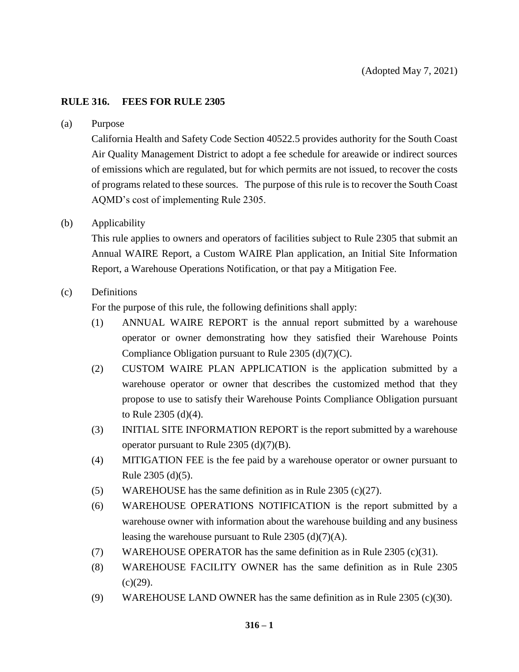## **RULE 316. FEES FOR RULE 2305**

#### (a) Purpose

California Health and Safety Code Section 40522.5 provides authority for the South Coast Air Quality Management District to adopt a fee schedule for areawide or indirect sources of emissions which are regulated, but for which permits are not issued, to recover the costs of programs related to these sources. The purpose of this rule is to recover the South Coast AQMD's cost of implementing Rule 2305.

## (b) Applicability

This rule applies to owners and operators of facilities subject to Rule 2305 that submit an Annual WAIRE Report, a Custom WAIRE Plan application, an Initial Site Information Report, a Warehouse Operations Notification, or that pay a Mitigation Fee.

## (c) Definitions

For the purpose of this rule, the following definitions shall apply:

- (1) ANNUAL WAIRE REPORT is the annual report submitted by a warehouse operator or owner demonstrating how they satisfied their Warehouse Points Compliance Obligation pursuant to Rule 2305 (d)(7)(C).
- (2) CUSTOM WAIRE PLAN APPLICATION is the application submitted by a warehouse operator or owner that describes the customized method that they propose to use to satisfy their Warehouse Points Compliance Obligation pursuant to Rule 2305 (d)(4).
- (3) INITIAL SITE INFORMATION REPORT is the report submitted by a warehouse operator pursuant to Rule  $2305$  (d)(7)(B).
- (4) MITIGATION FEE is the fee paid by a warehouse operator or owner pursuant to Rule 2305 (d)(5).
- (5) WAREHOUSE has the same definition as in Rule 2305 (c)(27).
- (6) WAREHOUSE OPERATIONS NOTIFICATION is the report submitted by a warehouse owner with information about the warehouse building and any business leasing the warehouse pursuant to Rule 2305 (d)(7)(A).
- (7) WAREHOUSE OPERATOR has the same definition as in Rule 2305 (c)(31).
- (8) WAREHOUSE FACILITY OWNER has the same definition as in Rule 2305  $(c)(29)$ .
- (9) WAREHOUSE LAND OWNER has the same definition as in Rule 2305 (c)(30).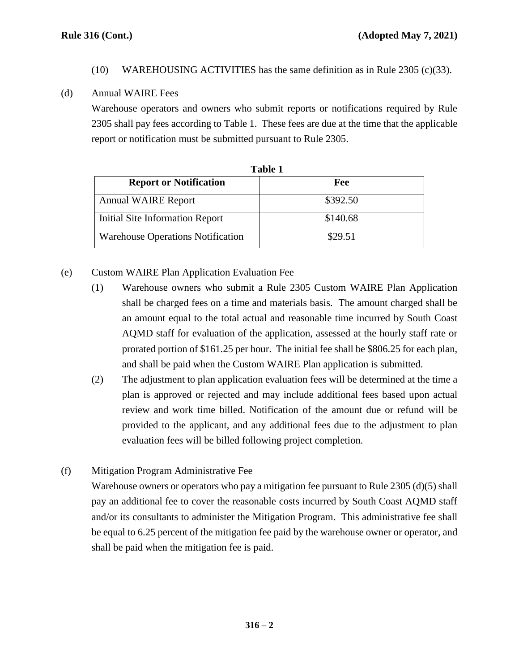(10) WAREHOUSING ACTIVITIES has the same definition as in Rule 2305 (c)(33).

## (d) Annual WAIRE Fees

Warehouse operators and owners who submit reports or notifications required by Rule 2305 shall pay fees according to Table 1. These fees are due at the time that the applicable report or notification must be submitted pursuant to Rule 2305.

| Table 1                                  |          |
|------------------------------------------|----------|
| <b>Report or Notification</b>            | Fee      |
| <b>Annual WAIRE Report</b>               | \$392.50 |
| Initial Site Information Report          | \$140.68 |
| <b>Warehouse Operations Notification</b> | \$29.51  |

# (e) Custom WAIRE Plan Application Evaluation Fee

- (1) Warehouse owners who submit a Rule 2305 Custom WAIRE Plan Application shall be charged fees on a time and materials basis. The amount charged shall be an amount equal to the total actual and reasonable time incurred by South Coast AQMD staff for evaluation of the application, assessed at the hourly staff rate or prorated portion of \$161.25 per hour. The initial fee shall be \$806.25 for each plan, and shall be paid when the Custom WAIRE Plan application is submitted.
- (2) The adjustment to plan application evaluation fees will be determined at the time a plan is approved or rejected and may include additional fees based upon actual review and work time billed. Notification of the amount due or refund will be provided to the applicant, and any additional fees due to the adjustment to plan evaluation fees will be billed following project completion.

# (f) Mitigation Program Administrative Fee

Warehouse owners or operators who pay a mitigation fee pursuant to Rule 2305 (d)(5) shall pay an additional fee to cover the reasonable costs incurred by South Coast AQMD staff and/or its consultants to administer the Mitigation Program. This administrative fee shall be equal to 6.25 percent of the mitigation fee paid by the warehouse owner or operator, and shall be paid when the mitigation fee is paid.